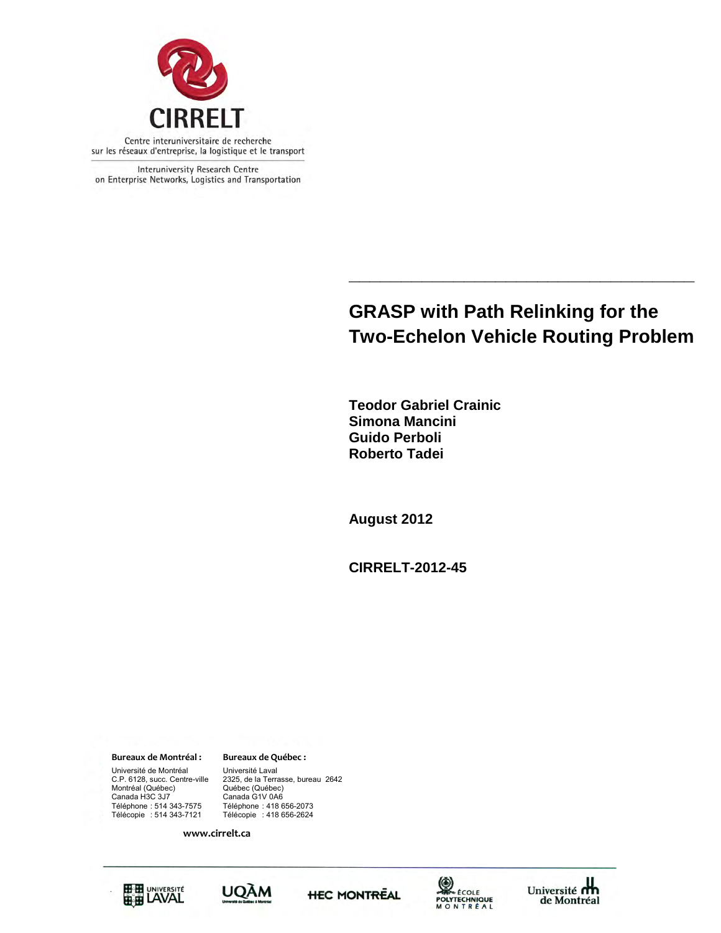

Interuniversity Research Centre on Enterprise Networks, Logistics and Transportation

# **GRASP with Path Relinking for the Two-Echelon Vehicle Routing Problem**

**\_\_\_\_\_\_\_\_\_\_\_\_\_\_\_\_\_\_\_\_\_\_\_\_\_\_\_\_\_\_\_\_\_** 

**Teodor Gabriel Crainic Simona Mancini Guido Perboli Roberto Tadei** 

**August 2012**

**CIRRELT-2012-45**

**Bureaux de Montréal : Bureaux de Québec :**

Canada H3C 3J7 Canada G1V 0A6 Université de Montréal Université Laval<br>C.P. 6128, succ. Centre-ville 2325, de la Terra Téléphone : 514 343-7575 Téléphone : 418 656-2073

C.P. 6128, succ. Centre-ville 2325, de la Terrasse, bureau 2642 Montréal (Québec) Québec (Québec) Télécopie : 418 656-2624

**www.cirrelt.ca** 









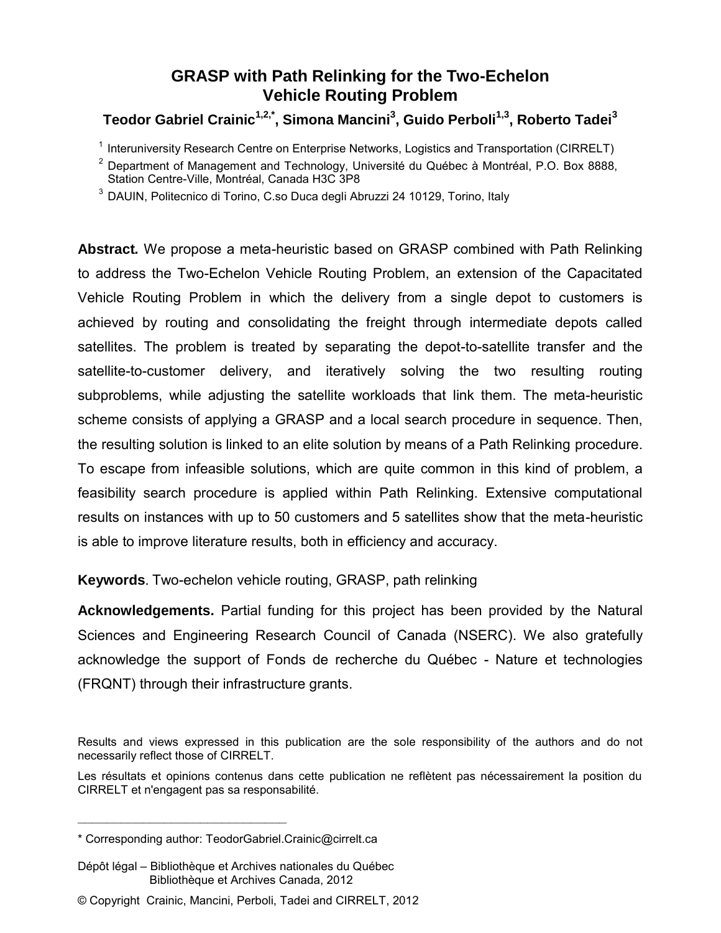## **GRASP with Path Relinking for the Two-Echelon Vehicle Routing Problem**

### **Teodor Gabriel Crainic1,2,\* , Simona Mancini<sup>3</sup> , Guido Perboli1,3, Roberto Tadei<sup>3</sup>**

<sup>1</sup> Interuniversity Research Centre on Enterprise Networks, Logistics and Transportation (CIRRELT)

 $2$  Department of Management and Technology, Université du Québec à Montréal, P.O. Box 8888, Station Centre-Ville, Montréal, Canada H3C 3P8

<sup>3</sup> DAUIN, Politecnico di Torino, C.so Duca degli Abruzzi 24 10129, Torino, Italy

**Abstract***.* We propose a meta-heuristic based on GRASP combined with Path Relinking to address the Two-Echelon Vehicle Routing Problem, an extension of the Capacitated Vehicle Routing Problem in which the delivery from a single depot to customers is achieved by routing and consolidating the freight through intermediate depots called satellites. The problem is treated by separating the depot-to-satellite transfer and the satellite-to-customer delivery, and iteratively solving the two resulting routing subproblems, while adjusting the satellite workloads that link them. The meta-heuristic scheme consists of applying a GRASP and a local search procedure in sequence. Then, the resulting solution is linked to an elite solution by means of a Path Relinking procedure. To escape from infeasible solutions, which are quite common in this kind of problem, a feasibility search procedure is applied within Path Relinking. Extensive computational results on instances with up to 50 customers and 5 satellites show that the meta-heuristic is able to improve literature results, both in efficiency and accuracy.

**Keywords**. Two-echelon vehicle routing, GRASP, path relinking

**Acknowledgements.** Partial funding for this project has been provided by the Natural Sciences and Engineering Research Council of Canada (NSERC). We also gratefully acknowledge the support of Fonds de recherche du Québec - Nature et technologies (FRQNT) through their infrastructure grants.

**\_\_\_\_\_\_\_\_\_\_\_\_\_\_\_\_\_\_\_\_\_\_\_\_\_\_\_\_\_**

Results and views expressed in this publication are the sole responsibility of the authors and do not necessarily reflect those of CIRRELT.

Les résultats et opinions contenus dans cette publication ne reflètent pas nécessairement la position du CIRRELT et n'engagent pas sa responsabilité.

<sup>\*</sup> Corresponding author: TeodorGabriel.Crainic@cirrelt.ca

Dépôt légal – Bibliothèque et Archives nationales du Québec Bibliothèque et Archives Canada, 2012

<sup>©</sup> Copyright Crainic, Mancini, Perboli, Tadei and CIRRELT, 2012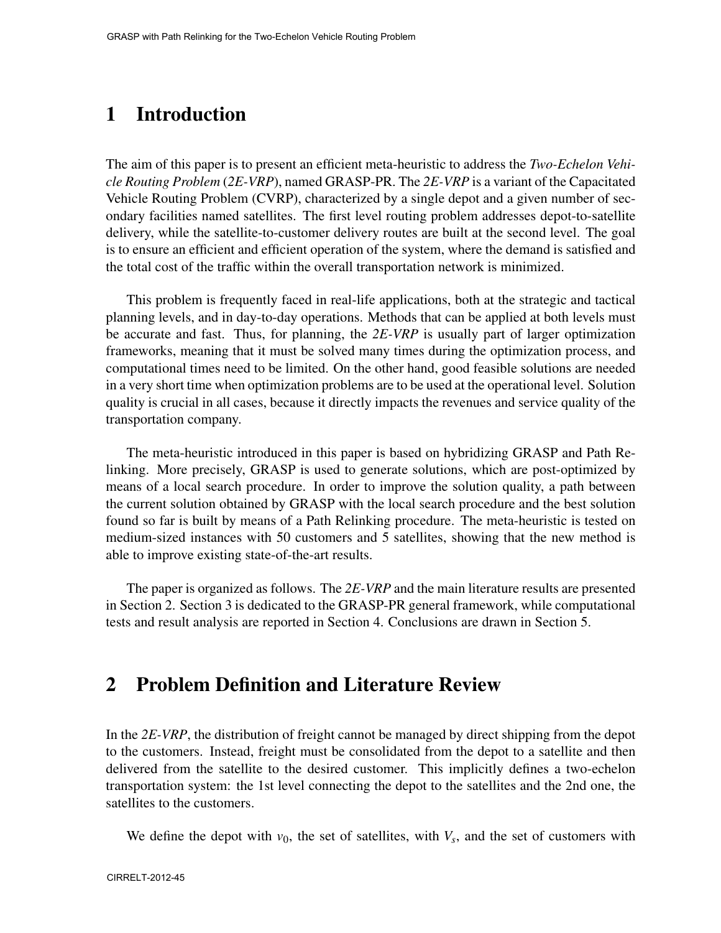## 1 Introduction

The aim of this paper is to present an efficient meta-heuristic to address the *Two-Echelon Vehicle Routing Problem* (*2E-VRP*), named GRASP-PR. The *2E-VRP* is a variant of the Capacitated Vehicle Routing Problem (CVRP), characterized by a single depot and a given number of secondary facilities named satellites. The first level routing problem addresses depot-to-satellite delivery, while the satellite-to-customer delivery routes are built at the second level. The goal is to ensure an efficient and efficient operation of the system, where the demand is satisfied and the total cost of the traffic within the overall transportation network is minimized.

This problem is frequently faced in real-life applications, both at the strategic and tactical planning levels, and in day-to-day operations. Methods that can be applied at both levels must be accurate and fast. Thus, for planning, the *2E-VRP* is usually part of larger optimization frameworks, meaning that it must be solved many times during the optimization process, and computational times need to be limited. On the other hand, good feasible solutions are needed in a very short time when optimization problems are to be used at the operational level. Solution quality is crucial in all cases, because it directly impacts the revenues and service quality of the transportation company.

The meta-heuristic introduced in this paper is based on hybridizing GRASP and Path Relinking. More precisely, GRASP is used to generate solutions, which are post-optimized by means of a local search procedure. In order to improve the solution quality, a path between the current solution obtained by GRASP with the local search procedure and the best solution found so far is built by means of a Path Relinking procedure. The meta-heuristic is tested on medium-sized instances with 50 customers and 5 satellites, showing that the new method is able to improve existing state-of-the-art results.

The paper is organized as follows. The *2E-VRP* and the main literature results are presented in Section 2. Section 3 is dedicated to the GRASP-PR general framework, while computational tests and result analysis are reported in Section 4. Conclusions are drawn in Section 5.

## 2 Problem Definition and Literature Review

In the *2E-VRP*, the distribution of freight cannot be managed by direct shipping from the depot to the customers. Instead, freight must be consolidated from the depot to a satellite and then delivered from the satellite to the desired customer. This implicitly defines a two-echelon transportation system: the 1st level connecting the depot to the satellites and the 2nd one, the satellites to the customers.

We define the depot with  $v_0$ , the set of satellites, with  $V_s$ , and the set of customers with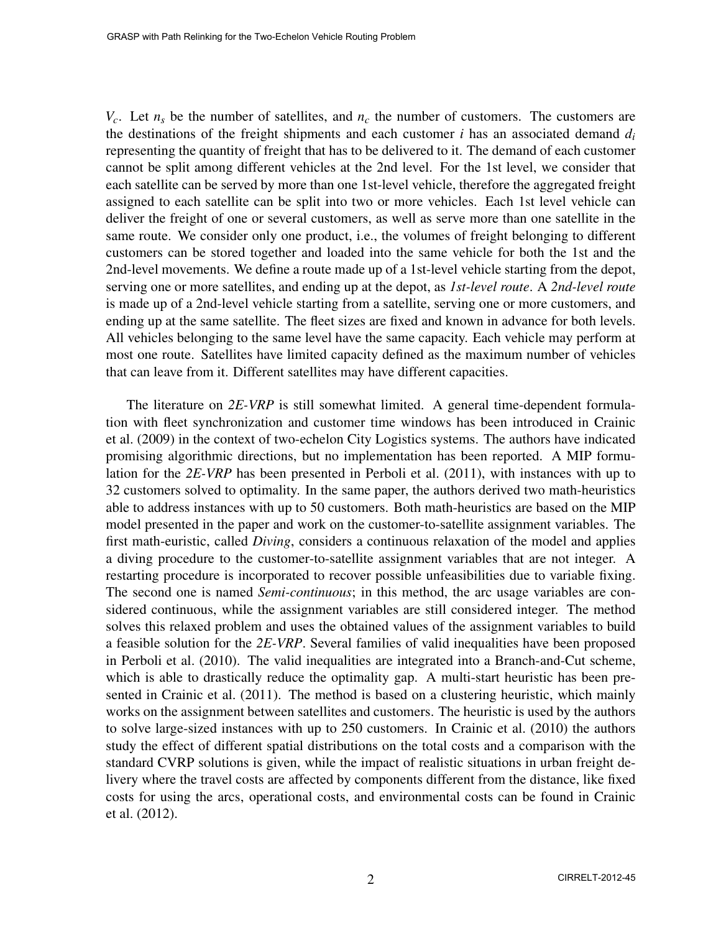$V_c$ . Let  $n_s$  be the number of satellites, and  $n_c$  the number of customers. The customers are the destinations of the freight shipments and each customer  $i$  has an associated demand  $d_i$ representing the quantity of freight that has to be delivered to it. The demand of each customer cannot be split among different vehicles at the 2nd level. For the 1st level, we consider that each satellite can be served by more than one 1st-level vehicle, therefore the aggregated freight assigned to each satellite can be split into two or more vehicles. Each 1st level vehicle can deliver the freight of one or several customers, as well as serve more than one satellite in the same route. We consider only one product, i.e., the volumes of freight belonging to different customers can be stored together and loaded into the same vehicle for both the 1st and the 2nd-level movements. We define a route made up of a 1st-level vehicle starting from the depot, serving one or more satellites, and ending up at the depot, as *1st-level route*. A *2nd-level route* is made up of a 2nd-level vehicle starting from a satellite, serving one or more customers, and ending up at the same satellite. The fleet sizes are fixed and known in advance for both levels. All vehicles belonging to the same level have the same capacity. Each vehicle may perform at most one route. Satellites have limited capacity defined as the maximum number of vehicles that can leave from it. Different satellites may have different capacities.

The literature on 2E-VRP is still somewhat limited. A general time-dependent formulation with fleet synchronization and customer time windows has been introduced in Crainic et al. (2009) in the context of two-echelon City Logistics systems. The authors have indicated promising algorithmic directions, but no implementation has been reported. A MIP formulation for the *2E-VRP* has been presented in Perboli et al. (2011), with instances with up to 32 customers solved to optimality. In the same paper, the authors derived two math-heuristics able to address instances with up to 50 customers. Both math-heuristics are based on the MIP model presented in the paper and work on the customer-to-satellite assignment variables. The first math-euristic, called *Diving*, considers a continuous relaxation of the model and applies a diving procedure to the customer-to-satellite assignment variables that are not integer. A restarting procedure is incorporated to recover possible unfeasibilities due to variable fixing. The second one is named *Semi-continuous*; in this method, the arc usage variables are considered continuous, while the assignment variables are still considered integer. The method solves this relaxed problem and uses the obtained values of the assignment variables to build a feasible solution for the *2E-VRP*. Several families of valid inequalities have been proposed in Perboli et al. (2010). The valid inequalities are integrated into a Branch-and-Cut scheme, which is able to drastically reduce the optimality gap. A multi-start heuristic has been presented in Crainic et al. (2011). The method is based on a clustering heuristic, which mainly works on the assignment between satellites and customers. The heuristic is used by the authors to solve large-sized instances with up to 250 customers. In Crainic et al. (2010) the authors study the effect of different spatial distributions on the total costs and a comparison with the standard CVRP solutions is given, while the impact of realistic situations in urban freight delivery where the travel costs are affected by components different from the distance, like fixed costs for using the arcs, operational costs, and environmental costs can be found in Crainic et al. (2012).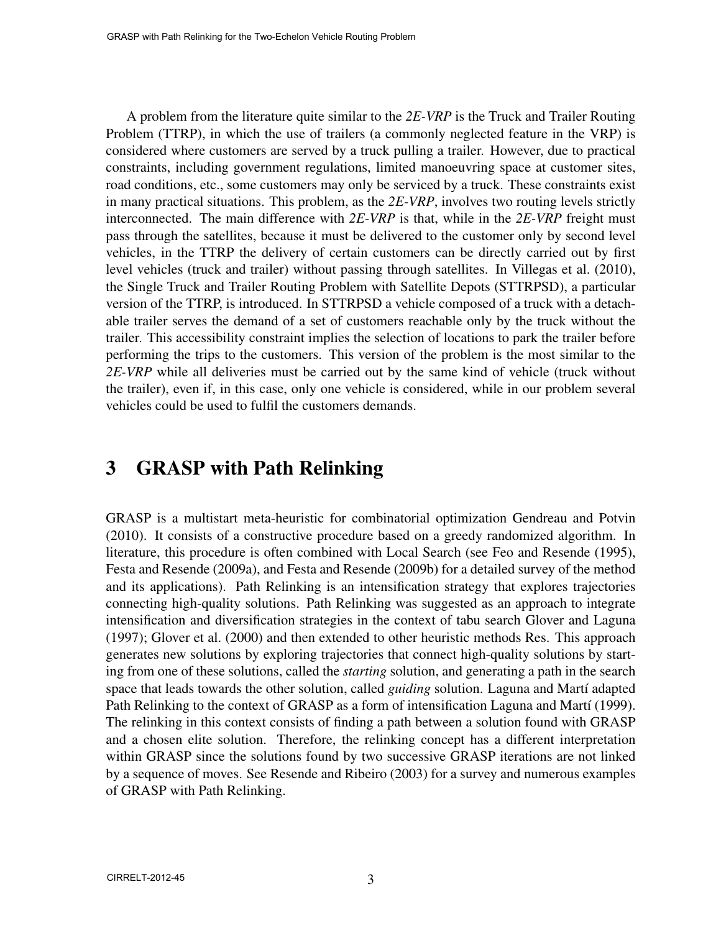A problem from the literature quite similar to the *2E-VRP* is the Truck and Trailer Routing Problem (TTRP), in which the use of trailers (a commonly neglected feature in the VRP) is considered where customers are served by a truck pulling a trailer. However, due to practical constraints, including government regulations, limited manoeuvring space at customer sites, road conditions, etc., some customers may only be serviced by a truck. These constraints exist in many practical situations. This problem, as the *2E-VRP*, involves two routing levels strictly interconnected. The main difference with *2E-VRP* is that, while in the *2E-VRP* freight must pass through the satellites, because it must be delivered to the customer only by second level vehicles, in the TTRP the delivery of certain customers can be directly carried out by first level vehicles (truck and trailer) without passing through satellites. In Villegas et al. (2010), the Single Truck and Trailer Routing Problem with Satellite Depots (STTRPSD), a particular version of the TTRP, is introduced. In STTRPSD a vehicle composed of a truck with a detachable trailer serves the demand of a set of customers reachable only by the truck without the trailer. This accessibility constraint implies the selection of locations to park the trailer before performing the trips to the customers. This version of the problem is the most similar to the *2E-VRP* while all deliveries must be carried out by the same kind of vehicle (truck without the trailer), even if, in this case, only one vehicle is considered, while in our problem several vehicles could be used to fulfil the customers demands.

## 3 GRASP with Path Relinking

GRASP is a multistart meta-heuristic for combinatorial optimization Gendreau and Potvin (2010). It consists of a constructive procedure based on a greedy randomized algorithm. In literature, this procedure is often combined with Local Search (see Feo and Resende (1995), Festa and Resende (2009a), and Festa and Resende (2009b) for a detailed survey of the method and its applications). Path Relinking is an intensification strategy that explores trajectories connecting high-quality solutions. Path Relinking was suggested as an approach to integrate intensification and diversification strategies in the context of tabu search Glover and Laguna (1997); Glover et al. (2000) and then extended to other heuristic methods Res. This approach generates new solutions by exploring trajectories that connect high-quality solutions by starting from one of these solutions, called the *starting* solution, and generating a path in the search space that leads towards the other solution, called *guiding* solution. Laguna and Martí adapted Path Relinking to the context of GRASP as a form of intensification Laguna and Martí (1999). The relinking in this context consists of finding a path between a solution found with GRASP and a chosen elite solution. Therefore, the relinking concept has a different interpretation within GRASP since the solutions found by two successive GRASP iterations are not linked by a sequence of moves. See Resende and Ribeiro (2003) for a survey and numerous examples of GRASP with Path Relinking.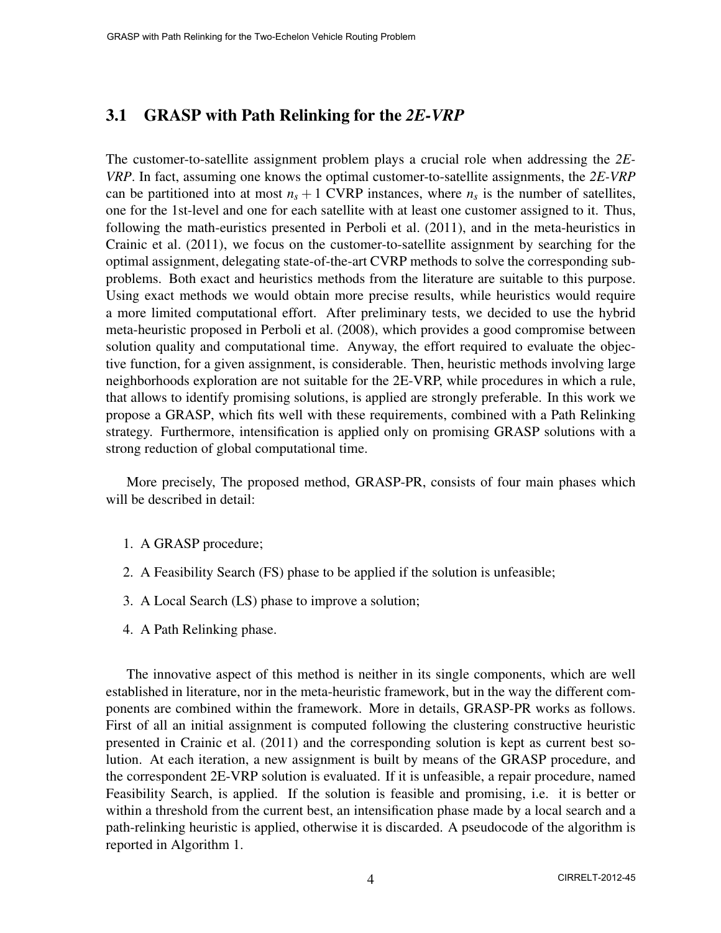## 3.1 GRASP with Path Relinking for the *2E-VRP*

The customer-to-satellite assignment problem plays a crucial role when addressing the *2E-VRP*. In fact, assuming one knows the optimal customer-to-satellite assignments, the *2E-VRP* can be partitioned into at most  $n_s + 1$  CVRP instances, where  $n_s$  is the number of satellites, one for the 1st-level and one for each satellite with at least one customer assigned to it. Thus, following the math-euristics presented in Perboli et al. (2011), and in the meta-heuristics in Crainic et al. (2011), we focus on the customer-to-satellite assignment by searching for the optimal assignment, delegating state-of-the-art CVRP methods to solve the corresponding subproblems. Both exact and heuristics methods from the literature are suitable to this purpose. Using exact methods we would obtain more precise results, while heuristics would require a more limited computational effort. After preliminary tests, we decided to use the hybrid meta-heuristic proposed in Perboli et al. (2008), which provides a good compromise between solution quality and computational time. Anyway, the effort required to evaluate the objective function, for a given assignment, is considerable. Then, heuristic methods involving large neighborhoods exploration are not suitable for the 2E-VRP, while procedures in which a rule, that allows to identify promising solutions, is applied are strongly preferable. In this work we propose a GRASP, which fits well with these requirements, combined with a Path Relinking strategy. Furthermore, intensification is applied only on promising GRASP solutions with a strong reduction of global computational time.

More precisely, The proposed method, GRASP-PR, consists of four main phases which will be described in detail:

- 1. A GRASP procedure;
- 2. A Feasibility Search (FS) phase to be applied if the solution is unfeasible;
- 3. A Local Search (LS) phase to improve a solution;
- 4. A Path Relinking phase.

The innovative aspect of this method is neither in its single components, which are well established in literature, nor in the meta-heuristic framework, but in the way the different components are combined within the framework. More in details, GRASP-PR works as follows. First of all an initial assignment is computed following the clustering constructive heuristic presented in Crainic et al. (2011) and the corresponding solution is kept as current best solution. At each iteration, a new assignment is built by means of the GRASP procedure, and the correspondent 2E-VRP solution is evaluated. If it is unfeasible, a repair procedure, named Feasibility Search, is applied. If the solution is feasible and promising, i.e. it is better or within a threshold from the current best, an intensification phase made by a local search and a path-relinking heuristic is applied, otherwise it is discarded. A pseudocode of the algorithm is reported in Algorithm 1.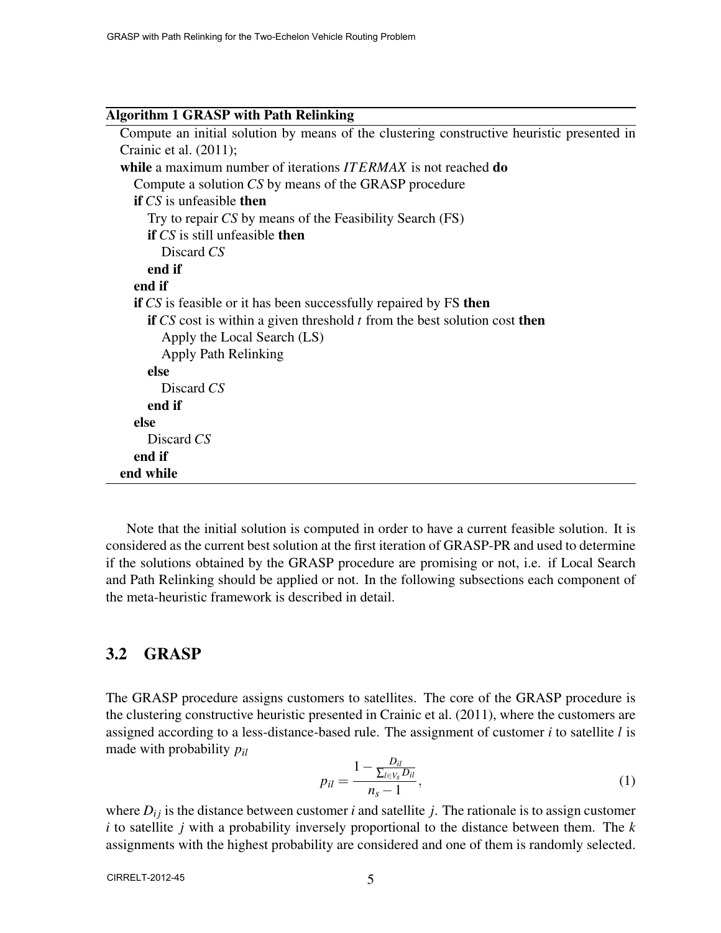| <b>Algorithm 1 GRASP with Path Relinking</b> |  |  |  |
|----------------------------------------------|--|--|--|
|                                              |  |  |  |

Compute an initial solution by means of the clustering constructive heuristic presented in Crainic et al. (2011); while a maximum number of iterations *IT ERMAX* is not reached do Compute a solution *CS* by means of the GRASP procedure if *CS* is unfeasible then Try to repair *CS* by means of the Feasibility Search (FS) if *CS* is still unfeasible then Discard *CS* end if end if if *CS* is feasible or it has been successfully repaired by FS then if *CS* cost is within a given threshold *t* from the best solution cost then Apply the Local Search (LS) Apply Path Relinking else Discard *CS* end if else Discard *CS* end if end while

Note that the initial solution is computed in order to have a current feasible solution. It is considered as the current best solution at the first iteration of GRASP-PR and used to determine if the solutions obtained by the GRASP procedure are promising or not, i.e. if Local Search and Path Relinking should be applied or not. In the following subsections each component of the meta-heuristic framework is described in detail.

### 3.2 GRASP

The GRASP procedure assigns customers to satellites. The core of the GRASP procedure is the clustering constructive heuristic presented in Crainic et al. (2011), where the customers are assigned according to a less-distance-based rule. The assignment of customer *i* to satellite *l* is made with probability *pil*

$$
p_{il} = \frac{1 - \frac{D_{il}}{\sum_{l \in V_s} D_{il}}}{n_s - 1},\tag{1}
$$

where  $D_{ij}$  is the distance between customer *i* and satellite *j*. The rationale is to assign customer *i* to satellite *j* with a probability inversely proportional to the distance between them. The *k* assignments with the highest probability are considered and one of them is randomly selected.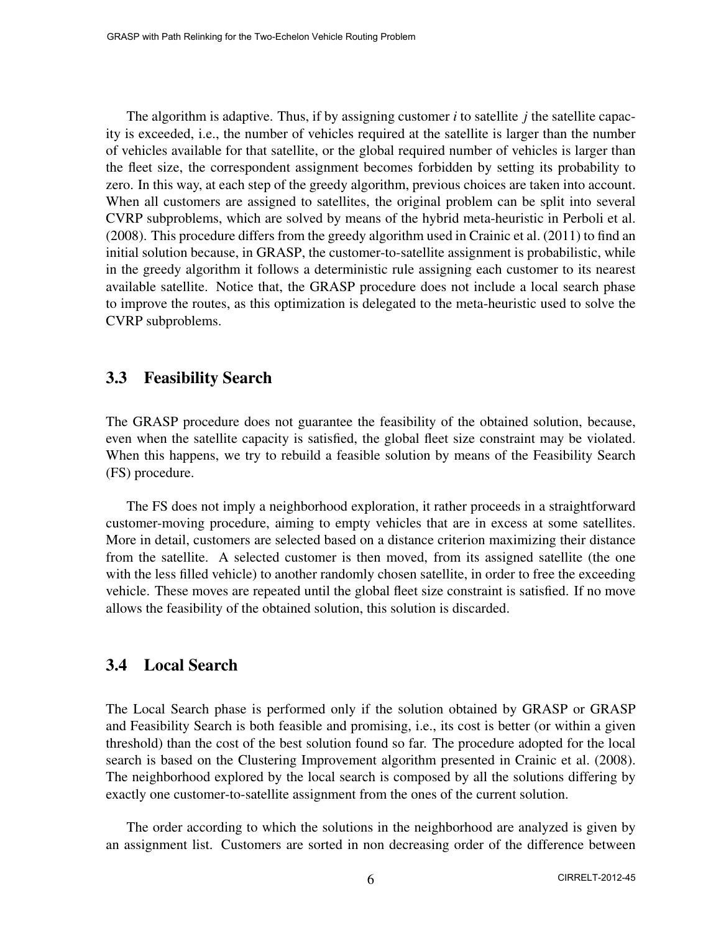The algorithm is adaptive. Thus, if by assigning customer *i* to satellite *j* the satellite capacity is exceeded, i.e., the number of vehicles required at the satellite is larger than the number of vehicles available for that satellite, or the global required number of vehicles is larger than the fleet size, the correspondent assignment becomes forbidden by setting its probability to zero. In this way, at each step of the greedy algorithm, previous choices are taken into account. When all customers are assigned to satellites, the original problem can be split into several CVRP subproblems, which are solved by means of the hybrid meta-heuristic in Perboli et al. (2008). This procedure differs from the greedy algorithm used in Crainic et al. (2011) to find an initial solution because, in GRASP, the customer-to-satellite assignment is probabilistic, while in the greedy algorithm it follows a deterministic rule assigning each customer to its nearest available satellite. Notice that, the GRASP procedure does not include a local search phase to improve the routes, as this optimization is delegated to the meta-heuristic used to solve the CVRP subproblems.

### 3.3 Feasibility Search

The GRASP procedure does not guarantee the feasibility of the obtained solution, because, even when the satellite capacity is satisfied, the global fleet size constraint may be violated. When this happens, we try to rebuild a feasible solution by means of the Feasibility Search (FS) procedure.

The FS does not imply a neighborhood exploration, it rather proceeds in a straightforward customer-moving procedure, aiming to empty vehicles that are in excess at some satellites. More in detail, customers are selected based on a distance criterion maximizing their distance from the satellite. A selected customer is then moved, from its assigned satellite (the one with the less filled vehicle) to another randomly chosen satellite, in order to free the exceeding vehicle. These moves are repeated until the global fleet size constraint is satisfied. If no move allows the feasibility of the obtained solution, this solution is discarded.

### 3.4 Local Search

The Local Search phase is performed only if the solution obtained by GRASP or GRASP and Feasibility Search is both feasible and promising, i.e., its cost is better (or within a given threshold) than the cost of the best solution found so far. The procedure adopted for the local search is based on the Clustering Improvement algorithm presented in Crainic et al. (2008). The neighborhood explored by the local search is composed by all the solutions differing by exactly one customer-to-satellite assignment from the ones of the current solution.

The order according to which the solutions in the neighborhood are analyzed is given by an assignment list. Customers are sorted in non decreasing order of the difference between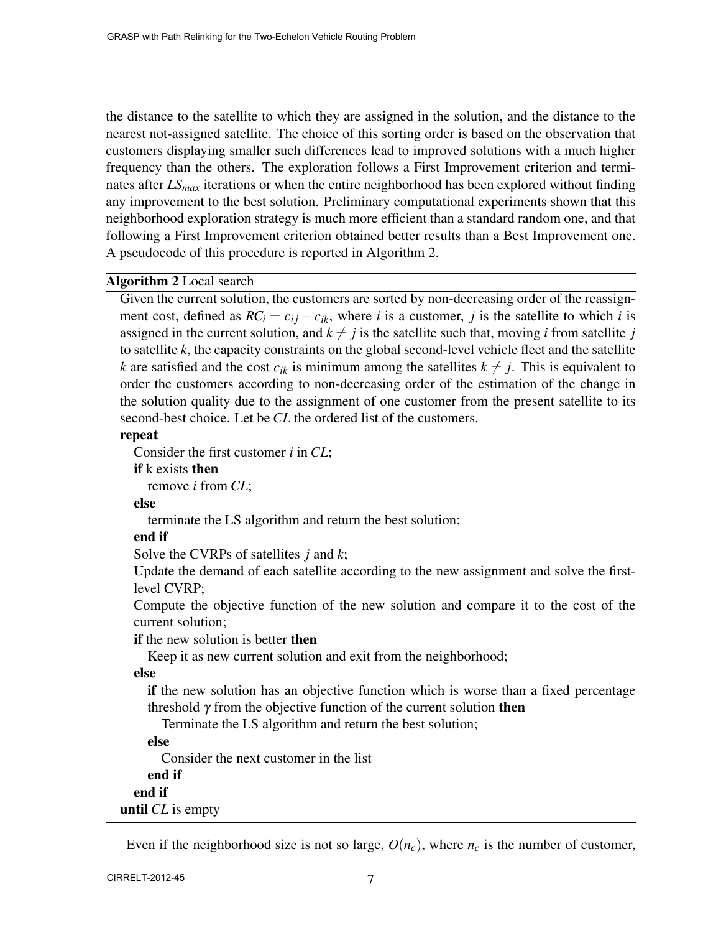the distance to the satellite to which they are assigned in the solution, and the distance to the nearest not-assigned satellite. The choice of this sorting order is based on the observation that customers displaying smaller such differences lead to improved solutions with a much higher frequency than the others. The exploration follows a First Improvement criterion and terminates after *LSmax* iterations or when the entire neighborhood has been explored without finding any improvement to the best solution. Preliminary computational experiments shown that this neighborhood exploration strategy is much more efficient than a standard random one, and that following a First Improvement criterion obtained better results than a Best Improvement one. A pseudocode of this procedure is reported in Algorithm 2.

#### Algorithm 2 Local search

Given the current solution, the customers are sorted by non-decreasing order of the reassignment cost, defined as  $RC_i = c_{ij} - c_{ik}$ , where *i* is a customer, *j* is the satellite to which *i* is assigned in the current solution, and  $k \neq j$  is the satellite such that, moving *i* from satellite *j* to satellite *k*, the capacity constraints on the global second-level vehicle fleet and the satellite *k* are satisfied and the cost  $c_{ik}$  is minimum among the satellites  $k \neq j$ . This is equivalent to order the customers according to non-decreasing order of the estimation of the change in the solution quality due to the assignment of one customer from the present satellite to its second-best choice. Let be *CL* the ordered list of the customers.

#### repeat

Consider the first customer *i* in *CL*;

if k exists then

remove *i* from *CL*;

#### else

terminate the LS algorithm and return the best solution;

#### end if

Solve the CVRPs of satellites *j* and *k*;

Update the demand of each satellite according to the new assignment and solve the firstlevel CVRP;

Compute the objective function of the new solution and compare it to the cost of the current solution;

**if** the new solution is better **then** 

Keep it as new current solution and exit from the neighborhood;

#### else

if the new solution has an objective function which is worse than a fixed percentage threshold  $\gamma$  from the objective function of the current solution then

Terminate the LS algorithm and return the best solution;

else

Consider the next customer in the list end if end if until *CL* is empty

Even if the neighborhood size is not so large,  $O(n_c)$ , where  $n_c$  is the number of customer,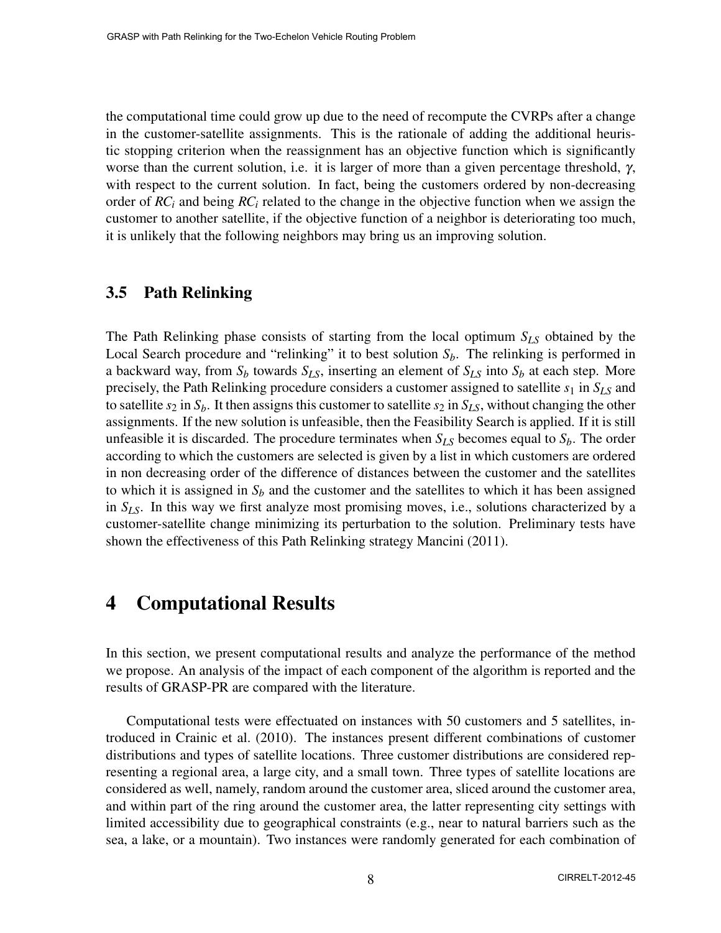the computational time could grow up due to the need of recompute the CVRPs after a change in the customer-satellite assignments. This is the rationale of adding the additional heuristic stopping criterion when the reassignment has an objective function which is significantly worse than the current solution, i.e. it is larger of more than a given percentage threshold,  $\gamma$ , with respect to the current solution. In fact, being the customers ordered by non-decreasing order of *RC<sup>i</sup>* and being *RC<sup>i</sup>* related to the change in the objective function when we assign the customer to another satellite, if the objective function of a neighbor is deteriorating too much, it is unlikely that the following neighbors may bring us an improving solution.

### 3.5 Path Relinking

The Path Relinking phase consists of starting from the local optimum *SLS* obtained by the Local Search procedure and "relinking" it to best solution  $S_b$ . The relinking is performed in a backward way, from *S<sup>b</sup>* towards *SLS*, inserting an element of *SLS* into *S<sup>b</sup>* at each step. More precisely, the Path Relinking procedure considers a customer assigned to satellite *s*<sup>1</sup> in *SLS* and to satellite  $s_2$  in  $S_b$ . It then assigns this customer to satellite  $s_2$  in  $S_{LS}$ , without changing the other assignments. If the new solution is unfeasible, then the Feasibility Search is applied. If it is still unfeasible it is discarded. The procedure terminates when  $S_{LS}$  becomes equal to  $S_b$ . The order according to which the customers are selected is given by a list in which customers are ordered in non decreasing order of the difference of distances between the customer and the satellites to which it is assigned in  $S_b$  and the customer and the satellites to which it has been assigned in *SLS*. In this way we first analyze most promising moves, i.e., solutions characterized by a customer-satellite change minimizing its perturbation to the solution. Preliminary tests have shown the effectiveness of this Path Relinking strategy Mancini (2011).

## 4 Computational Results

In this section, we present computational results and analyze the performance of the method we propose. An analysis of the impact of each component of the algorithm is reported and the results of GRASP-PR are compared with the literature.

Computational tests were effectuated on instances with 50 customers and 5 satellites, introduced in Crainic et al. (2010). The instances present different combinations of customer distributions and types of satellite locations. Three customer distributions are considered representing a regional area, a large city, and a small town. Three types of satellite locations are considered as well, namely, random around the customer area, sliced around the customer area, and within part of the ring around the customer area, the latter representing city settings with limited accessibility due to geographical constraints (e.g., near to natural barriers such as the sea, a lake, or a mountain). Two instances were randomly generated for each combination of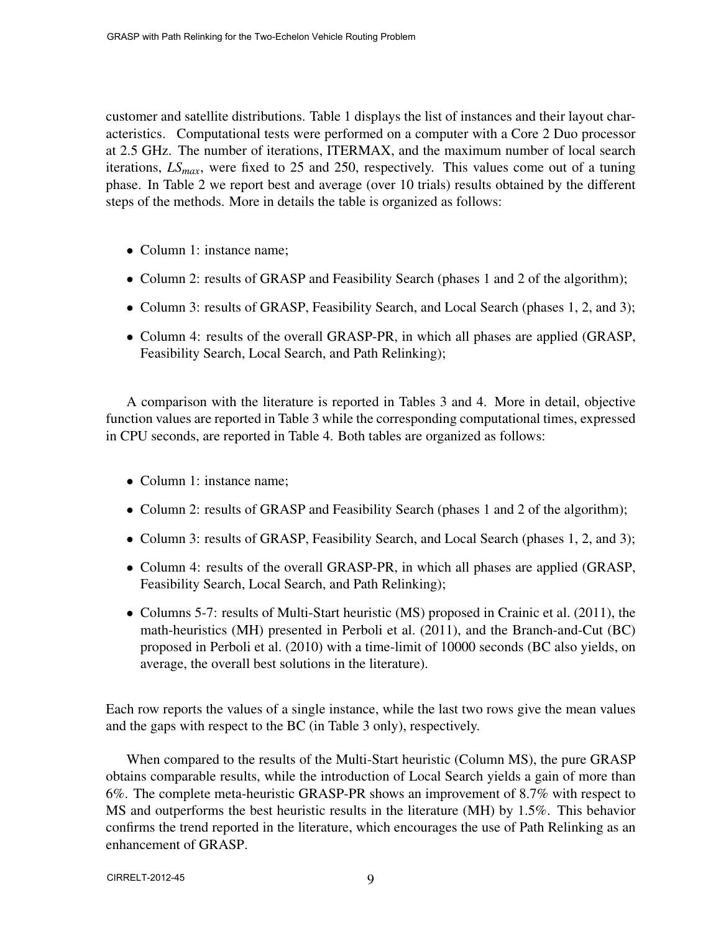customer and satellite distributions. Table 1 displays the list of instances and their layout characteristics. Computational tests were performed on a computer with a Core 2 Duo processor at 2.5 GHz. The number of iterations, ITERMAX, and the maximum number of local search iterations, *LSmax*, were fixed to 25 and 250, respectively. This values come out of a tuning phase. In Table 2 we report best and average (over 10 trials) results obtained by the different steps of the methods. More in details the table is organized as follows:

- Column 1: instance name;
- Column 2: results of GRASP and Feasibility Search (phases 1 and 2 of the algorithm);
- Column 3: results of GRASP, Feasibility Search, and Local Search (phases 1, 2, and 3);
- Column 4: results of the overall GRASP-PR, in which all phases are applied (GRASP, Feasibility Search, Local Search, and Path Relinking);

A comparison with the literature is reported in Tables 3 and 4. More in detail, objective function values are reported in Table 3 while the corresponding computational times, expressed in CPU seconds, are reported in Table 4. Both tables are organized as follows:

- Column 1: instance name;
- Column 2: results of GRASP and Feasibility Search (phases 1 and 2 of the algorithm);
- Column 3: results of GRASP, Feasibility Search, and Local Search (phases 1, 2, and 3);
- Column 4: results of the overall GRASP-PR, in which all phases are applied (GRASP, Feasibility Search, Local Search, and Path Relinking);
- Columns 5-7: results of Multi-Start heuristic (MS) proposed in Crainic et al. (2011), the math-heuristics (MH) presented in Perboli et al. (2011), and the Branch-and-Cut (BC) proposed in Perboli et al. (2010) with a time-limit of 10000 seconds (BC also yields, on average, the overall best solutions in the literature).

Each row reports the values of a single instance, while the last two rows give the mean values and the gaps with respect to the BC (in Table 3 only), respectively.

When compared to the results of the Multi-Start heuristic (Column MS), the pure GRASP obtains comparable results, while the introduction of Local Search yields a gain of more than 6%. The complete meta-heuristic GRASP-PR shows an improvement of 8.7% with respect to MS and outperforms the best heuristic results in the literature (MH) by 1.5%. This behavior confirms the trend reported in the literature, which encourages the use of Path Relinking as an enhancement of GRASP.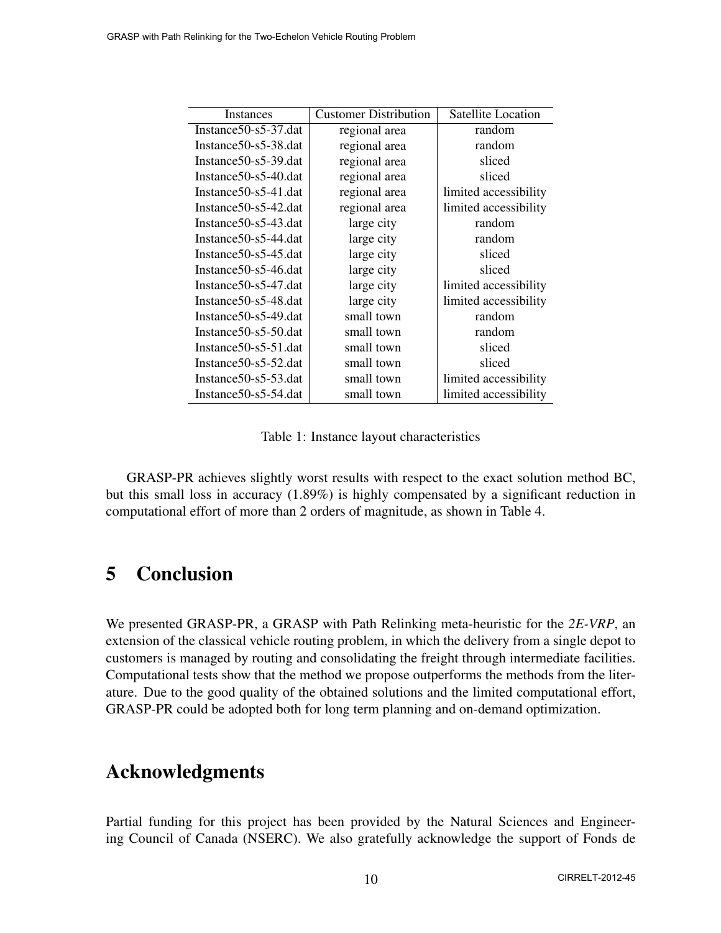| <b>Instances</b>              | <b>Customer Distribution</b> | <b>Satellite Location</b> |
|-------------------------------|------------------------------|---------------------------|
| Instance $50 - s5 - 37$ . dat | regional area                | random                    |
| Instance 50-s5-38. dat        | regional area                | random                    |
| Instance 50-s5-39. dat        | regional area                | sliced                    |
| Instance $50 - s5 - 40$ . dat | regional area                | sliced                    |
| Instance $50 - s5 - 41$ . dat | regional area                | limited accessibility     |
| Instance $50 - s5 - 42$ . dat | regional area                | limited accessibility     |
| Instance $50 - s5 - 43$ . dat | large city                   | random                    |
| Instance 50-s5-44. dat        | large city                   | random                    |
| Instance 50-s5-45.dat         | large city                   | sliced                    |
| Instance 50-s5-46.dat         | large city                   | sliced                    |
| Instance $50 - s5 - 47$ . dat | large city                   | limited accessibility     |
| Instance 50-s5-48. dat        | large city                   | limited accessibility     |
| Instance $50 - s5 - 49$ . dat | small town                   | random                    |
| Instance 50-s5-50.dat         | small town                   | random                    |
| Instance $50 - s5 - 51$ . dat | small town                   | sliced                    |
| Instance $50 - s5 - 52$ . dat | small town                   | sliced                    |
| Instance $50 - s5 - 53$ . dat | small town                   | limited accessibility     |
| Instance 50-s5-54. dat        | small town                   | limited accessibility     |

Table 1: Instance layout characteristics

GRASP-PR achieves slightly worst results with respect to the exact solution method BC, but this small loss in accuracy (1.89%) is highly compensated by a significant reduction in computational effort of more than 2 orders of magnitude, as shown in Table 4.

# 5 Conclusion

We presented GRASP-PR, a GRASP with Path Relinking meta-heuristic for the *2E-VRP*, an extension of the classical vehicle routing problem, in which the delivery from a single depot to customers is managed by routing and consolidating the freight through intermediate facilities. Computational tests show that the method we propose outperforms the methods from the literature. Due to the good quality of the obtained solutions and the limited computational effort, GRASP-PR could be adopted both for long term planning and on-demand optimization.

# Acknowledgments

Partial funding for this project has been provided by the Natural Sciences and Engineering Council of Canada (NSERC). We also gratefully acknowledge the support of Fonds de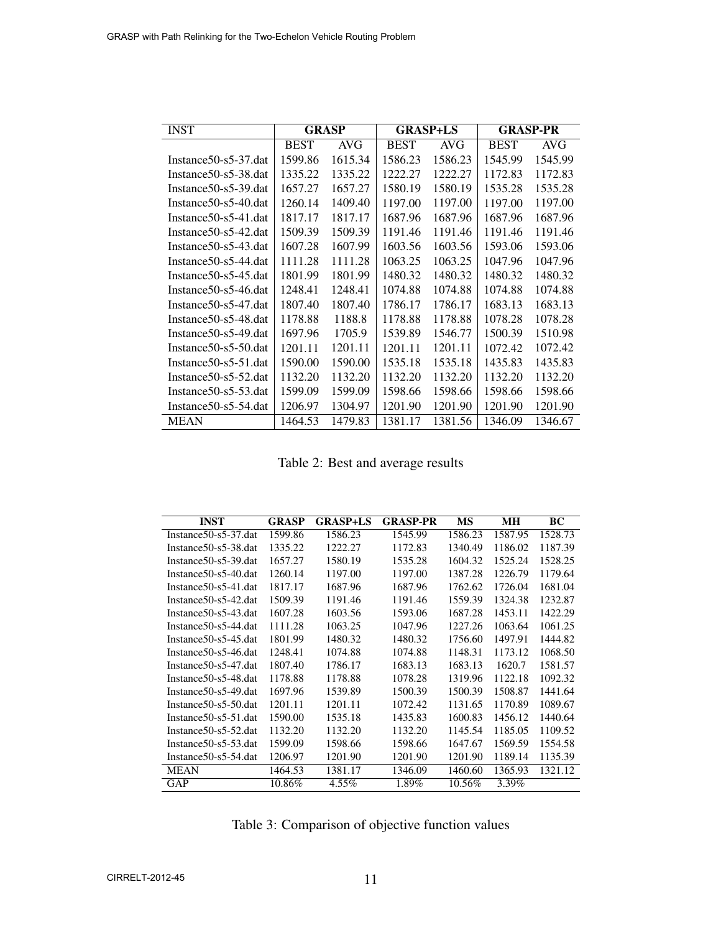| <b>INST</b>                   | <b>GRASP</b> |         | <b>GRASP+LS</b> |            | <b>GRASP-PR</b> |         |
|-------------------------------|--------------|---------|-----------------|------------|-----------------|---------|
|                               | <b>BEST</b>  | AVG     | <b>BEST</b>     | <b>AVG</b> | <b>BEST</b>     | AVG     |
| Instance $50 - s5 - 37$ . dat | 1599.86      | 1615.34 | 1586.23         | 1586.23    | 1545.99         | 1545.99 |
| Instance 50-s 5 - 38. dat     | 1335.22      | 1335.22 | 1222.27         | 1222.27    | 1172.83         | 1172.83 |
| Instance $50 - s5 - 39$ . dat | 1657.27      | 1657.27 | 1580.19         | 1580.19    | 1535.28         | 1535.28 |
| Instance $50 - s5 - 40$ . dat | 1260.14      | 1409.40 | 1197.00         | 1197.00    | 1197.00         | 1197.00 |
| Instance $50 - s5 - 41$ . dat | 1817.17      | 1817.17 | 1687.96         | 1687.96    | 1687.96         | 1687.96 |
| Instance $50 - s5 - 42$ . dat | 1509.39      | 1509.39 | 1191.46         | 1191.46    | 1191.46         | 1191.46 |
| Instance50-s5-43.dat          | 1607.28      | 1607.99 | 1603.56         | 1603.56    | 1593.06         | 1593.06 |
| Instance $50 - s5 - 44$ . dat | 1111.28      | 1111.28 | 1063.25         | 1063.25    | 1047.96         | 1047.96 |
| Instance $50 - s5 - 45$ . dat | 1801.99      | 1801.99 | 1480.32         | 1480.32    | 1480.32         | 1480.32 |
| Instance $50 - s5 - 46$ . dat | 1248.41      | 1248.41 | 1074.88         | 1074.88    | 1074.88         | 1074.88 |
| Instance $50 - s5 - 47$ . dat | 1807.40      | 1807.40 | 1786.17         | 1786.17    | 1683.13         | 1683.13 |
| Instance 50-s 5-48. dat       | 1178.88      | 1188.8  | 1178.88         | 1178.88    | 1078.28         | 1078.28 |
| Instance $50 - s5 - 49$ . dat | 1697.96      | 1705.9  | 1539.89         | 1546.77    | 1500.39         | 1510.98 |
| Instance $50 - s5 - 50$ . dat | 1201.11      | 1201.11 | 1201.11         | 1201.11    | 1072.42         | 1072.42 |
| Instance $50 - s5 - 51$ . dat | 1590.00      | 1590.00 | 1535.18         | 1535.18    | 1435.83         | 1435.83 |
| Instance $50 - s5 - 52$ . dat | 1132.20      | 1132.20 | 1132.20         | 1132.20    | 1132.20         | 1132.20 |
| Instance 50-s5-53. dat        | 1599.09      | 1599.09 | 1598.66         | 1598.66    | 1598.66         | 1598.66 |
| Instance $50 - s5 - 54$ . dat | 1206.97      | 1304.97 | 1201.90         | 1201.90    | 1201.90         | 1201.90 |
| <b>MEAN</b>                   | 1464.53      | 1479.83 | 1381.17         | 1381.56    | 1346.09         | 1346.67 |

Table 2: Best and average results

| <b>INST</b>                   | <b>GRASP</b> | <b>GRASP+LS</b> | <b>GRASP-PR</b> | <b>MS</b> | MH      | BC      |
|-------------------------------|--------------|-----------------|-----------------|-----------|---------|---------|
| Instance 50-s5-37.dat         | 1599.86      | 1586.23         | 1545.99         | 1586.23   | 1587.95 | 1528.73 |
| Instance50-s5-38.dat          | 1335.22      | 1222.27         | 1172.83         | 1340.49   | 1186.02 | 1187.39 |
| Instance 50-s5-39. dat        | 1657.27      | 1580.19         | 1535.28         | 1604.32   | 1525.24 | 1528.25 |
| Instance $50 - s5 - 40$ . dat | 1260.14      | 1197.00         | 1197.00         | 1387.28   | 1226.79 | 1179.64 |
| Instance $50 - s5 - 41$ . dat | 1817.17      | 1687.96         | 1687.96         | 1762.62   | 1726.04 | 1681.04 |
| Instance $50 - s5 - 42$ . dat | 1509.39      | 1191.46         | 1191.46         | 1559.39   | 1324.38 | 1232.87 |
| Instance 50-s 5-43. dat       | 1607.28      | 1603.56         | 1593.06         | 1687.28   | 1453.11 | 1422.29 |
| Instance 50-s 5-44. dat       | 1111.28      | 1063.25         | 1047.96         | 1227.26   | 1063.64 | 1061.25 |
| Instance $50 - s5 - 45$ . dat | 1801.99      | 1480.32         | 1480.32         | 1756.60   | 1497.91 | 1444.82 |
| Instance 50-s5-46.dat         | 1248.41      | 1074.88         | 1074.88         | 1148.31   | 1173.12 | 1068.50 |
| Instance $50 - s5 - 47$ . dat | 1807.40      | 1786.17         | 1683.13         | 1683.13   | 1620.7  | 1581.57 |
| Instance 50-s 5-48. dat       | 1178.88      | 1178.88         | 1078.28         | 1319.96   | 1122.18 | 1092.32 |
| Instance $50 - s5 - 49$ . dat | 1697.96      | 1539.89         | 1500.39         | 1500.39   | 1508.87 | 1441.64 |
| Instance 50-s5-50. dat        | 1201.11      | 1201.11         | 1072.42         | 1131.65   | 1170.89 | 1089.67 |
| Instance $50 - s5 - 51$ . dat | 1590.00      | 1535.18         | 1435.83         | 1600.83   | 1456.12 | 1440.64 |
| Instance $50 - s5 - 52$ . dat | 1132.20      | 1132.20         | 1132.20         | 1145.54   | 1185.05 | 1109.52 |
| Instance $50 - s5 - 53$ . dat | 1599.09      | 1598.66         | 1598.66         | 1647.67   | 1569.59 | 1554.58 |
| Instance 50-s5-54. dat        | 1206.97      | 1201.90         | 1201.90         | 1201.90   | 1189.14 | 1135.39 |
| <b>MEAN</b>                   | 1464.53      | 1381.17         | 1346.09         | 1460.60   | 1365.93 | 1321.12 |
| GAP                           | 10.86%       | 4.55%           | 1.89%           | 10.56%    | 3.39%   |         |

Table 3: Comparison of objective function values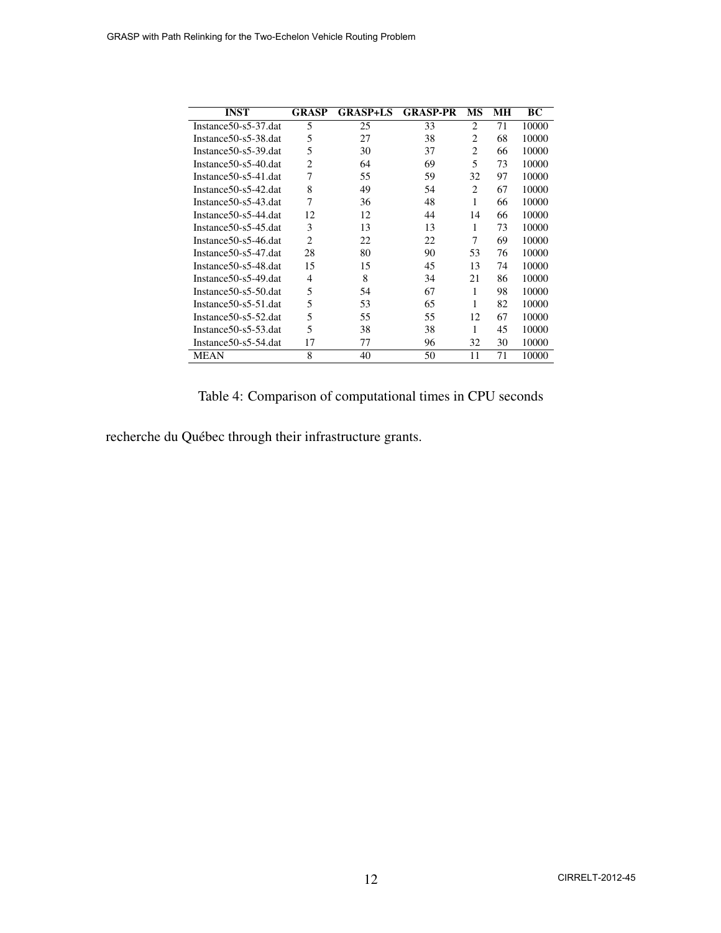| <b>INST</b>                   | <b>GRASP</b>   | <b>GRASP+LS</b> | <b>GRASP-PR</b> | MS | MН | BC    |
|-------------------------------|----------------|-----------------|-----------------|----|----|-------|
| Instance 50-s5-37.dat         | 5              | 25              | 33              | 2  | 71 | 10000 |
| Instance 50-s5-38. dat        | 5              | 27              | 38              | 2  | 68 | 10000 |
| Instance 50-s5-39. dat        | 5              | 30              | 37              | 2  | 66 | 10000 |
| Instance 50-s5-40.dat         | $\overline{c}$ | 64              | 69              | 5  | 73 | 10000 |
| Instance $50 - s5 - 41$ dat   | 7              | 55              | 59              | 32 | 97 | 10000 |
| Instance $50 - s5 - 42$ . dat | 8              | 49              | 54              | 2  | 67 | 10000 |
| Instance 50-s5-43.dat         | 7              | 36              | 48              | 1  | 66 | 10000 |
| Instance 50-s5-44.dat         | 12             | 12              | 44              | 14 | 66 | 10000 |
| Instance 50-s5-45.dat         | 3              | 13              | 13              | 1  | 73 | 10000 |
| Instance 50-s 5-46. dat       | $\overline{c}$ | 22              | 22              | 7  | 69 | 10000 |
| Instance 50-s5-47.dat         | 28             | 80              | 90              | 53 | 76 | 10000 |
| Instance 50-s 5-48 dat        | 15             | 15              | 45              | 13 | 74 | 10000 |
| Instance $50 - s5 - 49$ . dat | 4              | 8               | 34              | 21 | 86 | 10000 |
| Instance $50 - s5 - 50$ . dat | 5              | 54              | 67              | 1  | 98 | 10000 |
| Instance $50 - s5 - 51$ . dat | 5              | 53              | 65              | 1  | 82 | 10000 |
| Instance 50-s5-52. dat        | 5              | 55              | 55              | 12 | 67 | 10000 |
| Instance 50-s5-53.dat         | 5              | 38              | 38              | 1  | 45 | 10000 |
| Instance50-s5-54.dat          | 17             | 77              | 96              | 32 | 30 | 10000 |
| MEAN                          | 8              | 40              | 50              | 11 | 71 | 10000 |

Table 4: Comparison of computational times in CPU seconds

recherche du Québec through their infrastructure grants.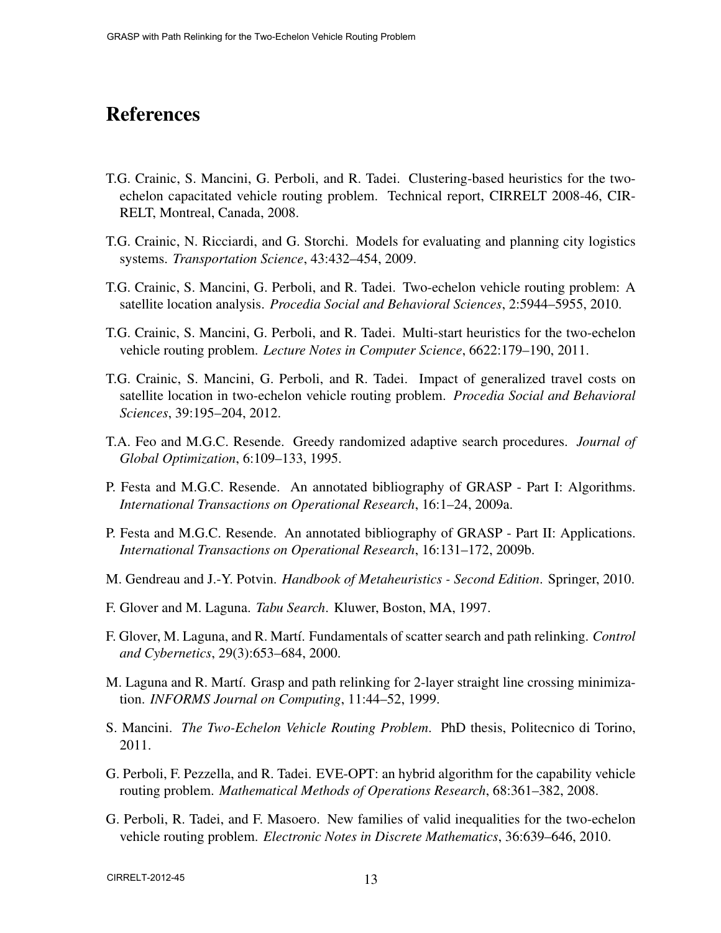## References

- T.G. Crainic, S. Mancini, G. Perboli, and R. Tadei. Clustering-based heuristics for the twoechelon capacitated vehicle routing problem. Technical report, CIRRELT 2008-46, CIR-RELT, Montreal, Canada, 2008.
- T.G. Crainic, N. Ricciardi, and G. Storchi. Models for evaluating and planning city logistics systems. *Transportation Science*, 43:432–454, 2009.
- T.G. Crainic, S. Mancini, G. Perboli, and R. Tadei. Two-echelon vehicle routing problem: A satellite location analysis. *Procedia Social and Behavioral Sciences*, 2:5944–5955, 2010.
- T.G. Crainic, S. Mancini, G. Perboli, and R. Tadei. Multi-start heuristics for the two-echelon vehicle routing problem. *Lecture Notes in Computer Science*, 6622:179–190, 2011.
- T.G. Crainic, S. Mancini, G. Perboli, and R. Tadei. Impact of generalized travel costs on satellite location in two-echelon vehicle routing problem. *Procedia Social and Behavioral Sciences*, 39:195–204, 2012.
- T.A. Feo and M.G.C. Resende. Greedy randomized adaptive search procedures. *Journal of Global Optimization*, 6:109–133, 1995.
- P. Festa and M.G.C. Resende. An annotated bibliography of GRASP Part I: Algorithms. *International Transactions on Operational Research*, 16:1–24, 2009a.
- P. Festa and M.G.C. Resende. An annotated bibliography of GRASP Part II: Applications. *International Transactions on Operational Research*, 16:131–172, 2009b.
- M. Gendreau and J.-Y. Potvin. *Handbook of Metaheuristics Second Edition*. Springer, 2010.
- F. Glover and M. Laguna. *Tabu Search*. Kluwer, Boston, MA, 1997.
- F. Glover, M. Laguna, and R. Mart´ı. Fundamentals of scatter search and path relinking. *Control and Cybernetics*, 29(3):653–684, 2000.
- M. Laguna and R. Martí. Grasp and path relinking for 2-layer straight line crossing minimization. *INFORMS Journal on Computing*, 11:44–52, 1999.
- S. Mancini. *The Two-Echelon Vehicle Routing Problem*. PhD thesis, Politecnico di Torino, 2011.
- G. Perboli, F. Pezzella, and R. Tadei. EVE-OPT: an hybrid algorithm for the capability vehicle routing problem. *Mathematical Methods of Operations Research*, 68:361–382, 2008.
- G. Perboli, R. Tadei, and F. Masoero. New families of valid inequalities for the two-echelon vehicle routing problem. *Electronic Notes in Discrete Mathematics*, 36:639–646, 2010.